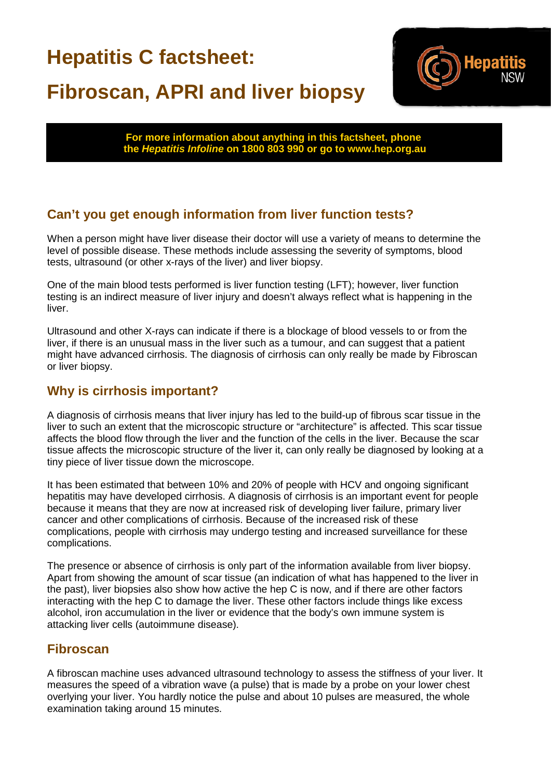# **Hepatitis C factsheet: Fibroscan, APRI and liver biopsy**



**For more information about anything in this factsheet, phone the** *Hepatitis Infoline* **on 1800 803 990 or go to www.hep.org.au**

# **Can't you get enough information from liver function tests?**

When a person might have liver disease their doctor will use a variety of means to determine the level of possible disease. These methods include assessing the severity of symptoms, blood tests, ultrasound (or other x-rays of the liver) and liver biopsy.

One of the main blood tests performed is liver function testing (LFT); however, liver function testing is an indirect measure of liver injury and doesn't always reflect what is happening in the liver.

Ultrasound and other X-rays can indicate if there is a blockage of blood vessels to or from the liver, if there is an unusual mass in the liver such as a tumour, and can suggest that a patient might have advanced cirrhosis. The diagnosis of cirrhosis can only really be made by Fibroscan or liver biopsy.

## **Why is cirrhosis important?**

A diagnosis of cirrhosis means that liver injury has led to the build-up of fibrous scar tissue in the liver to such an extent that the microscopic structure or "architecture" is affected. This scar tissue affects the blood flow through the liver and the function of the cells in the liver. Because the scar tissue affects the microscopic structure of the liver it, can only really be diagnosed by looking at a tiny piece of liver tissue down the microscope.

It has been estimated that between 10% and 20% of people with HCV and ongoing significant hepatitis may have developed cirrhosis. A diagnosis of cirrhosis is an important event for people because it means that they are now at increased risk of developing liver failure, primary liver cancer and other complications of cirrhosis. Because of the increased risk of these complications, people with cirrhosis may undergo testing and increased surveillance for these complications.

The presence or absence of cirrhosis is only part of the information available from liver biopsy. Apart from showing the amount of scar tissue (an indication of what has happened to the liver in the past), liver biopsies also show how active the hep C is now, and if there are other factors interacting with the hep C to damage the liver. These other factors include things like excess alcohol, iron accumulation in the liver or evidence that the body's own immune system is attacking liver cells (autoimmune disease).

#### **Fibroscan**

A fibroscan machine uses advanced ultrasound technology to assess the stiffness of your liver. It measures the speed of a vibration wave (a pulse) that is made by a probe on your lower chest overlying your liver. You hardly notice the pulse and about 10 pulses are measured, the whole examination taking around 15 minutes.